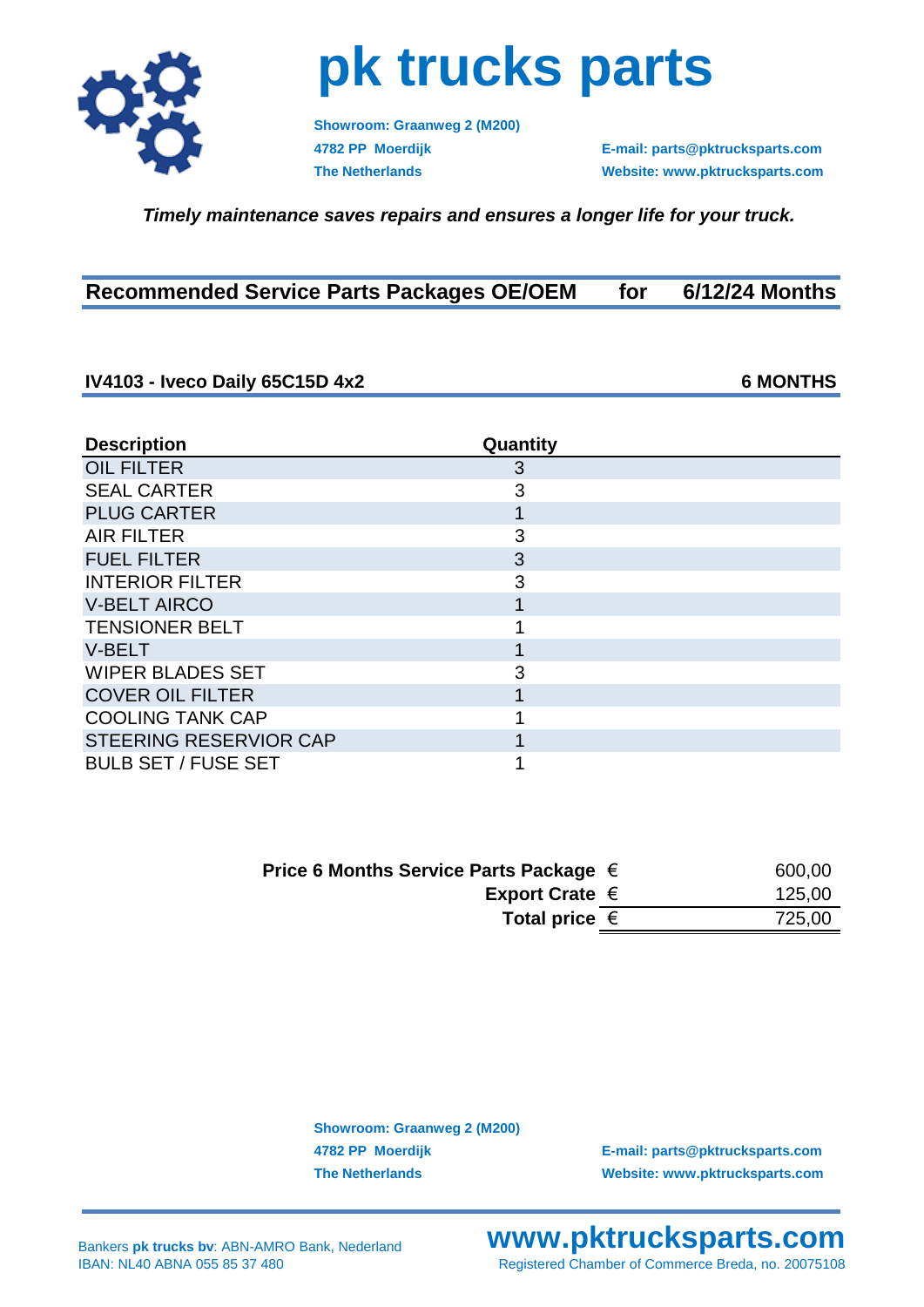

## **pk trucks parts**

**Showroom: Graanweg 2 (M200)**

**4782 PP Moerdijk E-mail: parts@pktrucksparts.com The Netherlands Website: www.pktrucksparts.com**

 *Timely maintenance saves repairs and ensures a longer life for your truck.*

| <b>Recommended Service Parts Packages OE/OEM</b> | for | 6/12/24 Months |
|--------------------------------------------------|-----|----------------|
|--------------------------------------------------|-----|----------------|

## **IV4103 - Iveco Daily 65C15D 4x2 6 MONTHS**

| <b>Description</b>            | Quantity |  |
|-------------------------------|----------|--|
| <b>OIL FILTER</b>             | 3        |  |
| <b>SEAL CARTER</b>            | 3        |  |
| <b>PLUG CARTER</b>            |          |  |
| <b>AIR FILTER</b>             | 3        |  |
| <b>FUEL FILTER</b>            | 3        |  |
| <b>INTERIOR FILTER</b>        | 3        |  |
| <b>V-BELT AIRCO</b>           |          |  |
| <b>TENSIONER BELT</b>         |          |  |
| <b>V-BELT</b>                 |          |  |
| <b>WIPER BLADES SET</b>       | 3        |  |
| <b>COVER OIL FILTER</b>       |          |  |
| <b>COOLING TANK CAP</b>       |          |  |
| <b>STEERING RESERVIOR CAP</b> |          |  |
| <b>BULB SET / FUSE SET</b>    |          |  |

| Price 6 Months Service Parts Package $\in$ | 600,00 |
|--------------------------------------------|--------|
| Export Crate $\epsilon$                    | 125,00 |
| Total price $\epsilon$                     | 725,00 |

**Showroom: Graanweg 2 (M200)**

**4782 PP Moerdijk E-mail: parts@pktrucksparts.com The Netherlands Website: www.pktrucksparts.com**

## **www.pktrucksparts.com** Registered Chamber of Commerce Breda, no. 20075108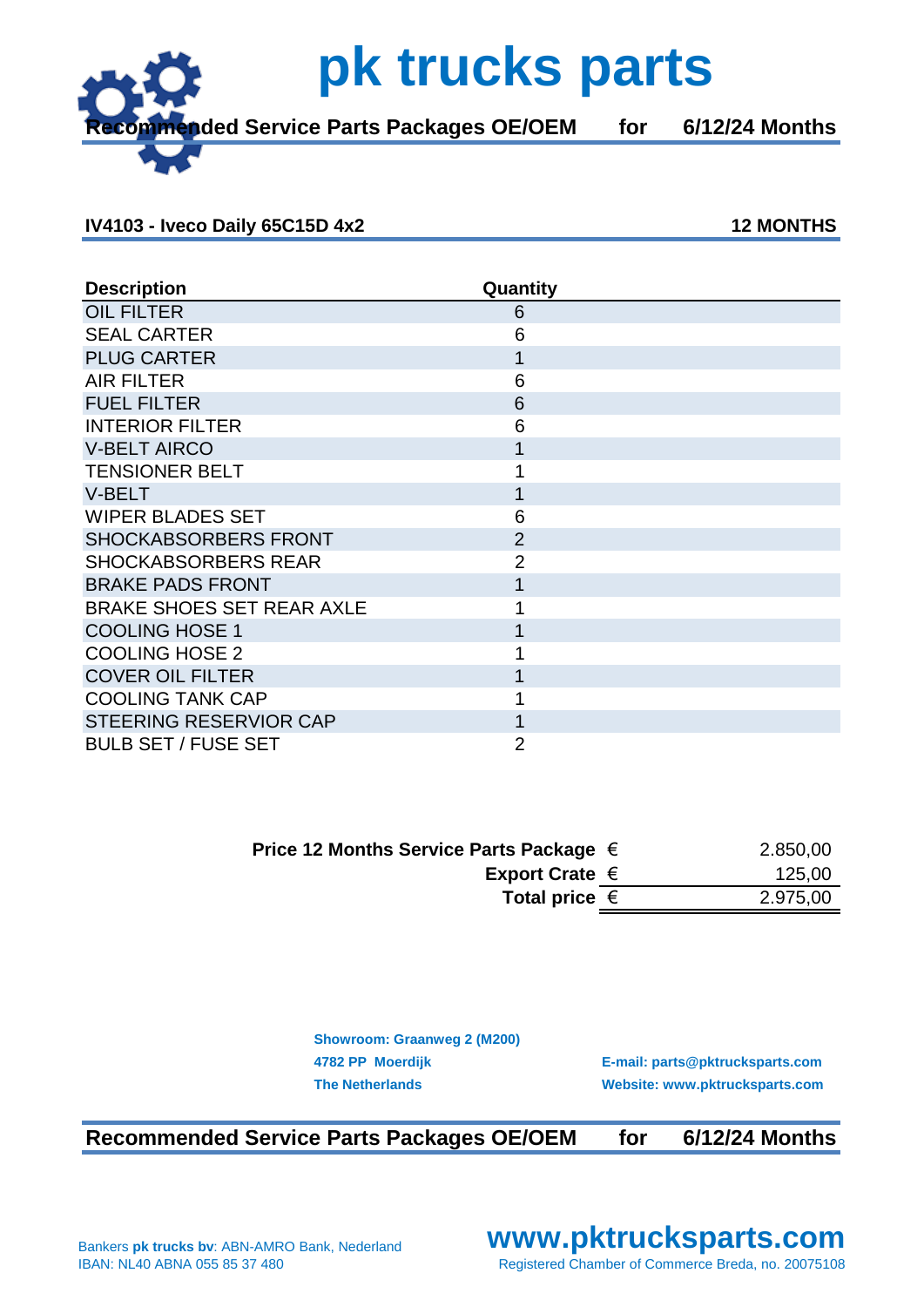**Recommended Service Parts Packages OE/OEM for 6/12/24 Months**

 **pk trucks parts**

## **IV4103 - Iveco Daily 65C15D 4x2 12 MONTHS**

| <b>Description</b>               | Quantity       |  |
|----------------------------------|----------------|--|
| <b>OIL FILTER</b>                | 6              |  |
| <b>SEAL CARTER</b>               | 6              |  |
| <b>PLUG CARTER</b>               | 1              |  |
| <b>AIR FILTER</b>                | 6              |  |
| <b>FUEL FILTER</b>               | 6              |  |
| <b>INTERIOR FILTER</b>           | 6              |  |
| <b>V-BELT AIRCO</b>              | 1              |  |
| <b>TENSIONER BELT</b>            | 1              |  |
| V-BELT                           | 1              |  |
| <b>WIPER BLADES SET</b>          | 6              |  |
| <b>SHOCKABSORBERS FRONT</b>      | $\overline{2}$ |  |
| <b>SHOCKABSORBERS REAR</b>       | $\overline{2}$ |  |
| <b>BRAKE PADS FRONT</b>          | 1              |  |
| <b>BRAKE SHOES SET REAR AXLE</b> | 1              |  |
| <b>COOLING HOSE 1</b>            | 1              |  |
| <b>COOLING HOSE 2</b>            |                |  |
| <b>COVER OIL FILTER</b>          | 1              |  |
| <b>COOLING TANK CAP</b>          |                |  |
| STEERING RESERVIOR CAP           | 1              |  |
| <b>BULB SET / FUSE SET</b>       | $\overline{2}$ |  |

| Price 12 Months Service Parts Package $\in$ | 2.850,00 |
|---------------------------------------------|----------|
| Export Crate $\in$                          | 125,00   |
| Total price $\in$                           | 2.975,00 |

**Showroom: Graanweg 2 (M200)**

**4782 PP Moerdijk E-mail: parts@pktrucksparts.com The Netherlands Website: www.pktrucksparts.com**

**Recommended Service Parts Packages OE/OEM for 6/12/24 Months**